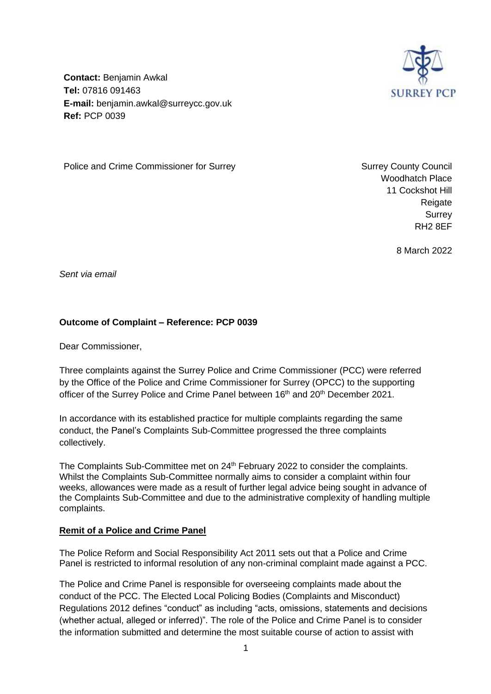

**Contact:** Benjamin Awkal **Tel:** 07816 091463 **E-mail:** benjamin.awkal@surreycc.gov.uk **Ref:** PCP 0039

Police and Crime Commissioner for Surrey Network Surrey Surrey County Council

Woodhatch Place 11 Cockshot Hill Reigate Surrey RH2 8EF

8 March 2022

*Sent via email*

# **Outcome of Complaint – Reference: PCP 0039**

Dear Commissioner,

Three complaints against the Surrey Police and Crime Commissioner (PCC) were referred by the Office of the Police and Crime Commissioner for Surrey (OPCC) to the supporting officer of the Surrey Police and Crime Panel between 16<sup>th</sup> and 20<sup>th</sup> December 2021.

In accordance with its established practice for multiple complaints regarding the same conduct, the Panel's Complaints Sub-Committee progressed the three complaints collectively.

The Complaints Sub-Committee met on 24<sup>th</sup> February 2022 to consider the complaints. Whilst the Complaints Sub-Committee normally aims to consider a complaint within four weeks, allowances were made as a result of further legal advice being sought in advance of the Complaints Sub-Committee and due to the administrative complexity of handling multiple complaints.

#### **Remit of a Police and Crime Panel**

The Police Reform and Social Responsibility Act 2011 sets out that a Police and Crime Panel is restricted to informal resolution of any non-criminal complaint made against a PCC.

The Police and Crime Panel is responsible for overseeing complaints made about the conduct of the PCC. The Elected Local Policing Bodies (Complaints and Misconduct) Regulations 2012 defines "conduct" as including "acts, omissions, statements and decisions (whether actual, alleged or inferred)". The role of the Police and Crime Panel is to consider the information submitted and determine the most suitable course of action to assist with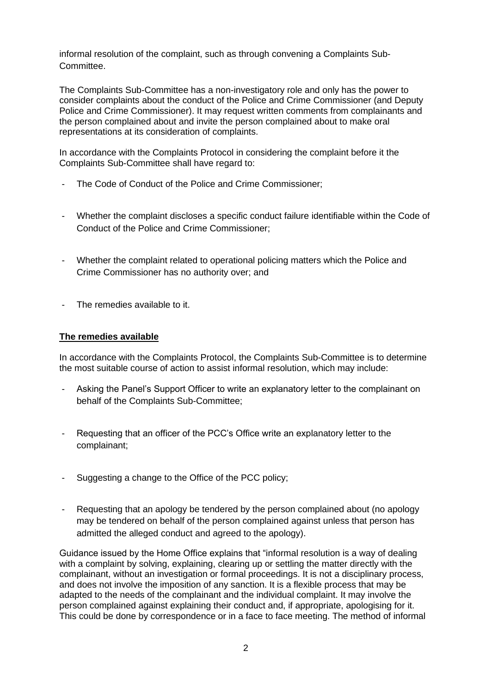informal resolution of the complaint, such as through convening a Complaints Sub-Committee.

The Complaints Sub-Committee has a non-investigatory role and only has the power to consider complaints about the conduct of the Police and Crime Commissioner (and Deputy Police and Crime Commissioner). It may request written comments from complainants and the person complained about and invite the person complained about to make oral representations at its consideration of complaints.

In accordance with the Complaints Protocol in considering the complaint before it the Complaints Sub-Committee shall have regard to:

- The Code of Conduct of the Police and Crime Commissioner;
- Whether the complaint discloses a specific conduct failure identifiable within the Code of Conduct of the Police and Crime Commissioner;
- Whether the complaint related to operational policing matters which the Police and Crime Commissioner has no authority over; and
- The remedies available to it.

#### **The remedies available**

In accordance with the Complaints Protocol, the Complaints Sub-Committee is to determine the most suitable course of action to assist informal resolution, which may include:

- Asking the Panel's Support Officer to write an explanatory letter to the complainant on behalf of the Complaints Sub-Committee;
- Requesting that an officer of the PCC's Office write an explanatory letter to the complainant;
- Suggesting a change to the Office of the PCC policy;
- Requesting that an apology be tendered by the person complained about (no apology may be tendered on behalf of the person complained against unless that person has admitted the alleged conduct and agreed to the apology).

Guidance issued by the Home Office explains that "informal resolution is a way of dealing with a complaint by solving, explaining, clearing up or settling the matter directly with the complainant, without an investigation or formal proceedings. It is not a disciplinary process, and does not involve the imposition of any sanction. It is a flexible process that may be adapted to the needs of the complainant and the individual complaint. It may involve the person complained against explaining their conduct and, if appropriate, apologising for it. This could be done by correspondence or in a face to face meeting. The method of informal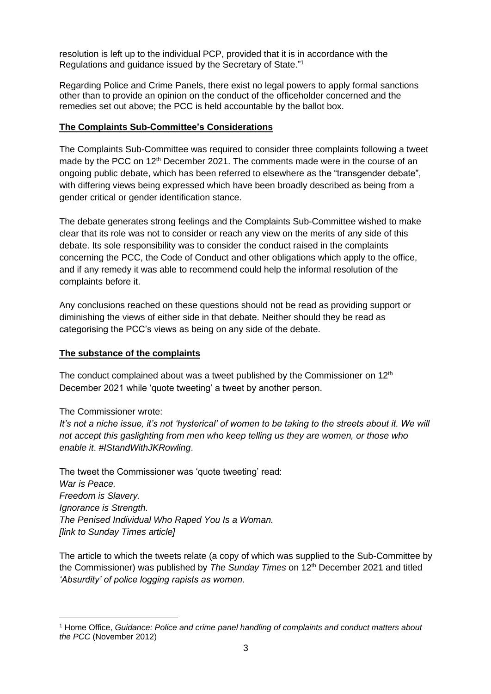resolution is left up to the individual PCP, provided that it is in accordance with the Regulations and guidance issued by the Secretary of State."<sup>1</sup>

Regarding Police and Crime Panels, there exist no legal powers to apply formal sanctions other than to provide an opinion on the conduct of the officeholder concerned and the remedies set out above; the PCC is held accountable by the ballot box.

#### **The Complaints Sub-Committee's Considerations**

The Complaints Sub-Committee was required to consider three complaints following a tweet made by the PCC on 12<sup>th</sup> December 2021. The comments made were in the course of an ongoing public debate, which has been referred to elsewhere as the "transgender debate", with differing views being expressed which have been broadly described as being from a gender critical or gender identification stance.

The debate generates strong feelings and the Complaints Sub-Committee wished to make clear that its role was not to consider or reach any view on the merits of any side of this debate. Its sole responsibility was to consider the conduct raised in the complaints concerning the PCC, the Code of Conduct and other obligations which apply to the office, and if any remedy it was able to recommend could help the informal resolution of the complaints before it.

Any conclusions reached on these questions should not be read as providing support or diminishing the views of either side in that debate. Neither should they be read as categorising the PCC's views as being on any side of the debate.

#### **The substance of the complaints**

The conduct complained about was a tweet published by the Commissioner on  $12<sup>th</sup>$ December 2021 while 'quote tweeting' a tweet by another person.

The Commissioner wrote:

*It's not a niche issue, it's not 'hysterical' of women to be taking to the streets about it. We will not accept this gaslighting from men who keep telling us they are women, or those who enable it*. *#IStandWithJKRowling*.

The tweet the Commissioner was 'quote tweeting' read: *War is Peace. Freedom is Slavery. Ignorance is Strength. The Penised Individual Who Raped You Is a Woman. [link to Sunday Times article]*

The article to which the tweets relate (a copy of which was supplied to the Sub-Committee by the Commissioner) was published by *The Sunday Times* on 12th December 2021 and titled *'Absurdity' of police logging rapists as women*.

<sup>1</sup> Home Office, *Guidance: Police and crime panel handling of complaints and conduct matters about the PCC* (November 2012)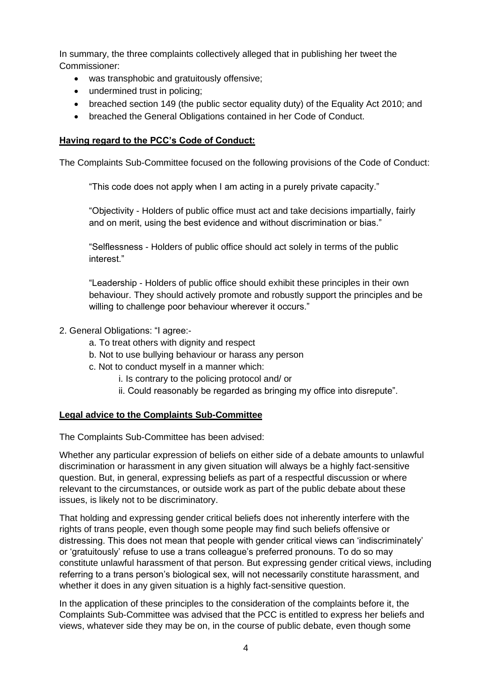In summary, the three complaints collectively alleged that in publishing her tweet the Commissioner:

- was transphobic and gratuitously offensive;
- undermined trust in policing;
- breached section 149 (the public sector equality duty) of the Equality Act 2010; and
- breached the General Obligations contained in her Code of Conduct.

## **Having regard to the PCC's Code of Conduct:**

The Complaints Sub-Committee focused on the following provisions of the Code of Conduct:

"This code does not apply when I am acting in a purely private capacity."

"Objectivity - Holders of public office must act and take decisions impartially, fairly and on merit, using the best evidence and without discrimination or bias."

"Selflessness - Holders of public office should act solely in terms of the public interest."

"Leadership - Holders of public office should exhibit these principles in their own behaviour. They should actively promote and robustly support the principles and be willing to challenge poor behaviour wherever it occurs."

- 2. General Obligations: "I agree:
	- a. To treat others with dignity and respect
	- b. Not to use bullying behaviour or harass any person
	- c. Not to conduct myself in a manner which:
		- i. Is contrary to the policing protocol and/ or
		- ii. Could reasonably be regarded as bringing my office into disrepute".

#### **Legal advice to the Complaints Sub-Committee**

The Complaints Sub-Committee has been advised:

Whether any particular expression of beliefs on either side of a debate amounts to unlawful discrimination or harassment in any given situation will always be a highly fact-sensitive question. But, in general, expressing beliefs as part of a respectful discussion or where relevant to the circumstances, or outside work as part of the public debate about these issues, is likely not to be discriminatory.

That holding and expressing gender critical beliefs does not inherently interfere with the rights of trans people, even though some people may find such beliefs offensive or distressing. This does not mean that people with gender critical views can 'indiscriminately' or 'gratuitously' refuse to use a trans colleague's preferred pronouns. To do so may constitute unlawful harassment of that person. But expressing gender critical views, including referring to a trans person's biological sex, will not necessarily constitute harassment, and whether it does in any given situation is a highly fact-sensitive question.

In the application of these principles to the consideration of the complaints before it, the Complaints Sub-Committee was advised that the PCC is entitled to express her beliefs and views, whatever side they may be on, in the course of public debate, even though some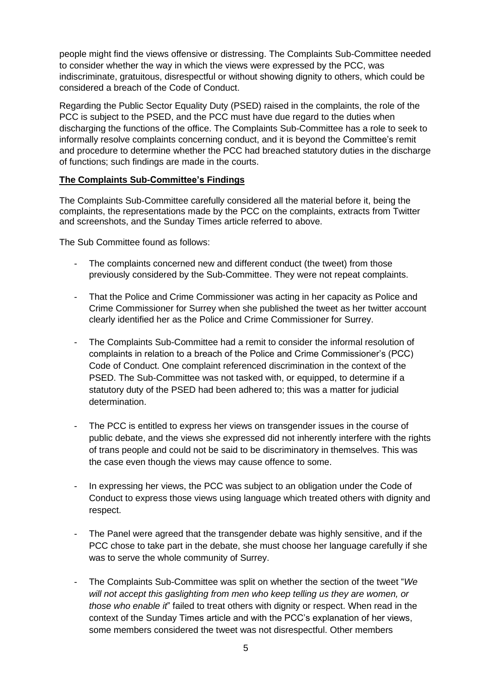people might find the views offensive or distressing. The Complaints Sub-Committee needed to consider whether the way in which the views were expressed by the PCC, was indiscriminate, gratuitous, disrespectful or without showing dignity to others, which could be considered a breach of the Code of Conduct.

Regarding the Public Sector Equality Duty (PSED) raised in the complaints, the role of the PCC is subject to the PSED, and the PCC must have due regard to the duties when discharging the functions of the office. The Complaints Sub-Committee has a role to seek to informally resolve complaints concerning conduct, and it is beyond the Committee's remit and procedure to determine whether the PCC had breached statutory duties in the discharge of functions; such findings are made in the courts.

### **The Complaints Sub-Committee's Findings**

The Complaints Sub-Committee carefully considered all the material before it, being the complaints, the representations made by the PCC on the complaints, extracts from Twitter and screenshots, and the Sunday Times article referred to above.

The Sub Committee found as follows:

- The complaints concerned new and different conduct (the tweet) from those previously considered by the Sub-Committee. They were not repeat complaints.
- That the Police and Crime Commissioner was acting in her capacity as Police and Crime Commissioner for Surrey when she published the tweet as her twitter account clearly identified her as the Police and Crime Commissioner for Surrey.
- The Complaints Sub-Committee had a remit to consider the informal resolution of complaints in relation to a breach of the Police and Crime Commissioner's (PCC) Code of Conduct. One complaint referenced discrimination in the context of the PSED. The Sub-Committee was not tasked with, or equipped, to determine if a statutory duty of the PSED had been adhered to; this was a matter for judicial determination.
- The PCC is entitled to express her views on transgender issues in the course of public debate, and the views she expressed did not inherently interfere with the rights of trans people and could not be said to be discriminatory in themselves. This was the case even though the views may cause offence to some.
- In expressing her views, the PCC was subject to an obligation under the Code of Conduct to express those views using language which treated others with dignity and respect.
- The Panel were agreed that the transgender debate was highly sensitive, and if the PCC chose to take part in the debate, she must choose her language carefully if she was to serve the whole community of Surrey.
- The Complaints Sub-Committee was split on whether the section of the tweet "*We will not accept this gaslighting from men who keep telling us they are women, or those who enable it*" failed to treat others with dignity or respect. When read in the context of the Sunday Times article and with the PCC's explanation of her views, some members considered the tweet was not disrespectful. Other members